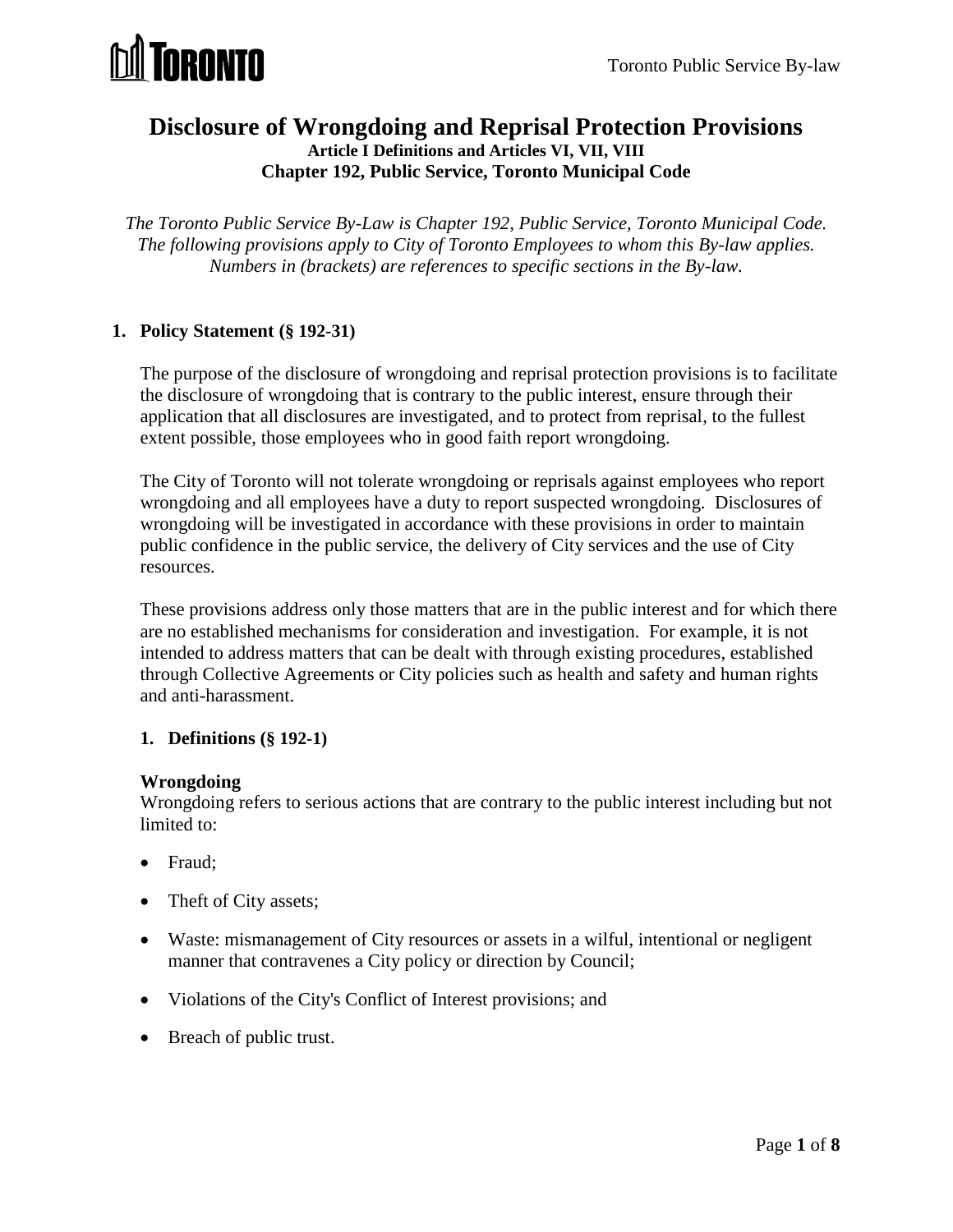

## **Disclosure of Wrongdoing and Reprisal Protection Provisions Article I Definitions and Articles VI, VII, VIII Chapter 192, Public Service, Toronto Municipal Code**

*The Toronto Public Service By-Law is Chapter 192, Public Service, Toronto Municipal Code. The following provisions apply to City of Toronto Employees to whom this By-law applies. Numbers in (brackets) are references to specific sections in the By-law.*

## **1. Policy Statement (§ 192-31)**

The purpose of the disclosure of wrongdoing and reprisal protection provisions is to facilitate the disclosure of wrongdoing that is contrary to the public interest, ensure through their application that all disclosures are investigated, and to protect from reprisal, to the fullest extent possible, those employees who in good faith report wrongdoing.

The City of Toronto will not tolerate wrongdoing or reprisals against employees who report wrongdoing and all employees have a duty to report suspected wrongdoing. Disclosures of wrongdoing will be investigated in accordance with these provisions in order to maintain public confidence in the public service, the delivery of City services and the use of City resources.

These provisions address only those matters that are in the public interest and for which there are no established mechanisms for consideration and investigation. For example, it is not intended to address matters that can be dealt with through existing procedures, established through Collective Agreements or City policies such as health and safety and human rights and anti-harassment.

#### **1. Definitions (§ 192-1)**

#### **Wrongdoing**

Wrongdoing refers to serious actions that are contrary to the public interest including but not limited to:

- Fraud;
- Theft of City assets;
- Waste: mismanagement of City resources or assets in a wilful, intentional or negligent manner that contravenes a City policy or direction by Council;
- Violations of the City's Conflict of Interest provisions; and
- Breach of public trust.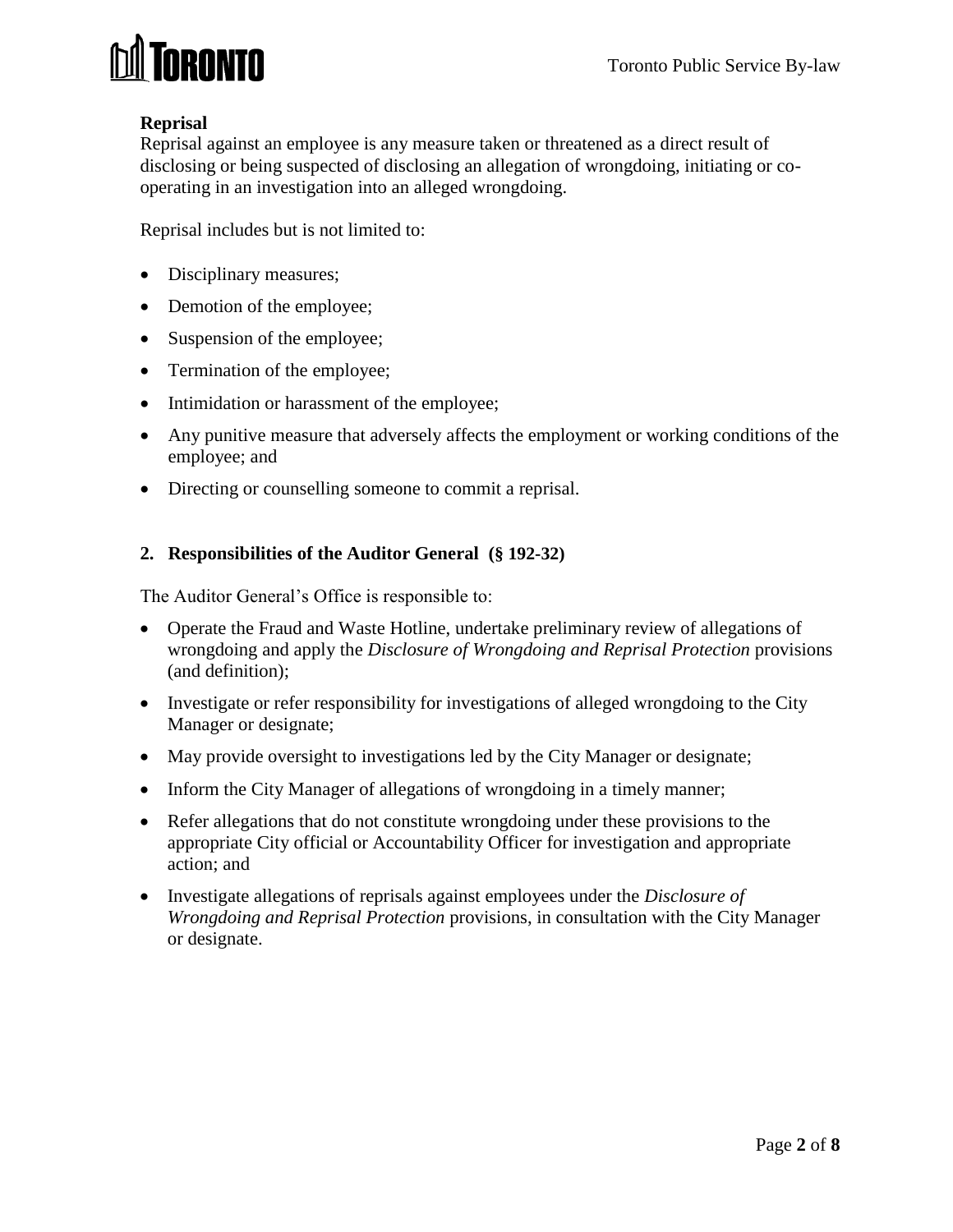

## **Reprisal**

Reprisal against an employee is any measure taken or threatened as a direct result of disclosing or being suspected of disclosing an allegation of wrongdoing, initiating or cooperating in an investigation into an alleged wrongdoing.

Reprisal includes but is not limited to:

- Disciplinary measures;
- Demotion of the employee;
- Suspension of the employee;
- Termination of the employee;
- Intimidation or harassment of the employee;
- Any punitive measure that adversely affects the employment or working conditions of the employee; and
- Directing or counselling someone to commit a reprisal.

## **2. Responsibilities of the Auditor General (§ 192-32)**

The Auditor General's Office is responsible to:

- Operate the Fraud and Waste Hotline, undertake preliminary review of allegations of wrongdoing and apply the *Disclosure of Wrongdoing and Reprisal Protection* provisions (and definition);
- Investigate or refer responsibility for investigations of alleged wrongdoing to the City Manager or designate;
- May provide oversight to investigations led by the City Manager or designate;
- Inform the City Manager of allegations of wrongdoing in a timely manner;
- Refer allegations that do not constitute wrongdoing under these provisions to the appropriate City official or Accountability Officer for investigation and appropriate action; and
- Investigate allegations of reprisals against employees under the *Disclosure of Wrongdoing and Reprisal Protection* provisions, in consultation with the City Manager or designate.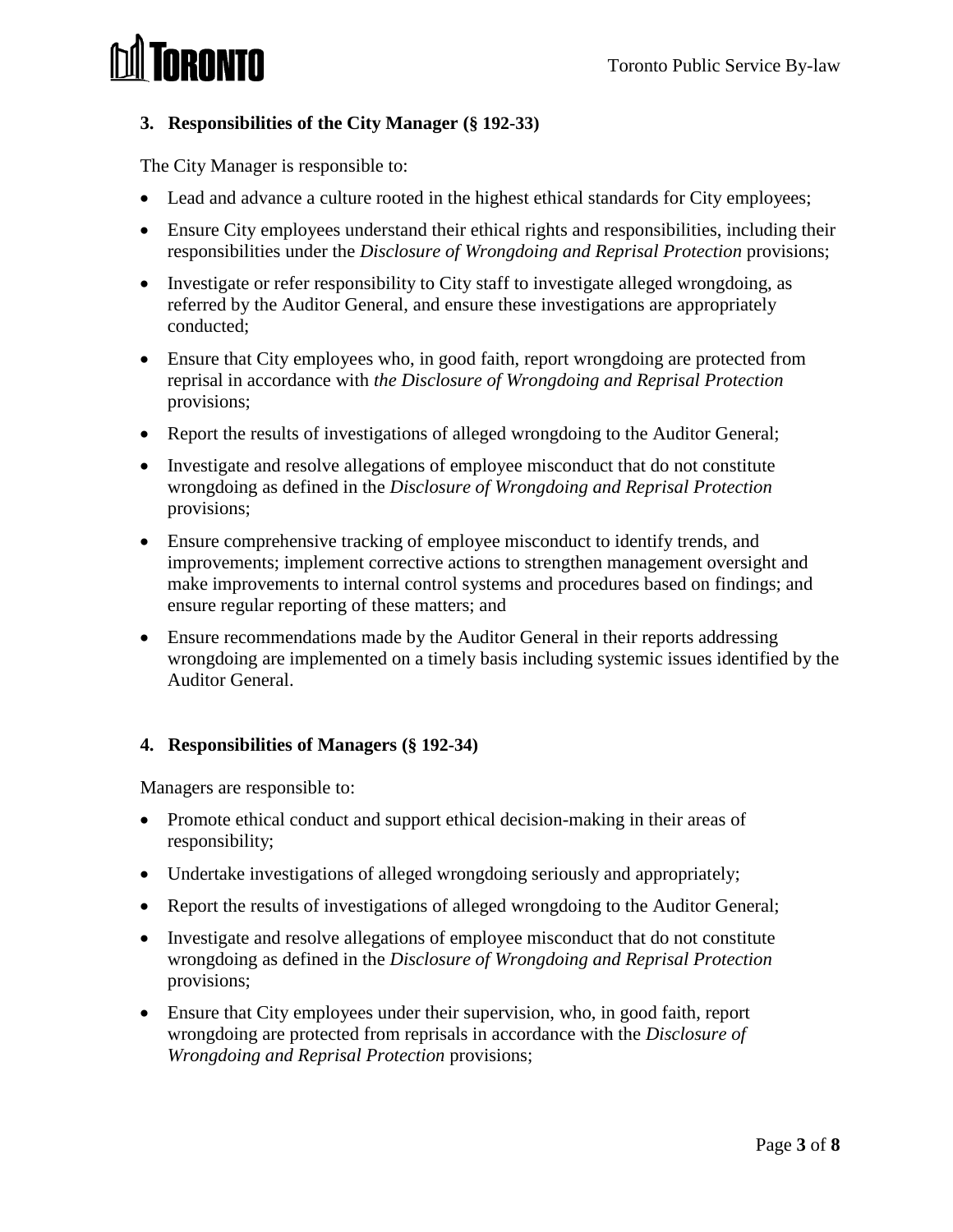# **IRONTO**

# **3. Responsibilities of the City Manager (§ 192-33)**

The City Manager is responsible to:

- Lead and advance a culture rooted in the highest ethical standards for City employees;
- Ensure City employees understand their ethical rights and responsibilities, including their responsibilities under the *Disclosure of Wrongdoing and Reprisal Protection* provisions;
- Investigate or refer responsibility to City staff to investigate alleged wrongdoing, as referred by the Auditor General, and ensure these investigations are appropriately conducted;
- Ensure that City employees who, in good faith, report wrongdoing are protected from reprisal in accordance with *the Disclosure of Wrongdoing and Reprisal Protection* provisions;
- Report the results of investigations of alleged wrongdoing to the Auditor General;
- Investigate and resolve allegations of employee misconduct that do not constitute wrongdoing as defined in the *Disclosure of Wrongdoing and Reprisal Protection* provisions;
- Ensure comprehensive tracking of employee misconduct to identify trends, and improvements; implement corrective actions to strengthen management oversight and make improvements to internal control systems and procedures based on findings; and ensure regular reporting of these matters; and
- Ensure recommendations made by the Auditor General in their reports addressing wrongdoing are implemented on a timely basis including systemic issues identified by the Auditor General.

# **4. Responsibilities of Managers (§ 192-34)**

Managers are responsible to:

- Promote ethical conduct and support ethical decision-making in their areas of responsibility;
- Undertake investigations of alleged wrongdoing seriously and appropriately;
- Report the results of investigations of alleged wrongdoing to the Auditor General;
- Investigate and resolve allegations of employee misconduct that do not constitute wrongdoing as defined in the *Disclosure of Wrongdoing and Reprisal Protection* provisions;
- Ensure that City employees under their supervision, who, in good faith, report wrongdoing are protected from reprisals in accordance with the *Disclosure of Wrongdoing and Reprisal Protection* provisions;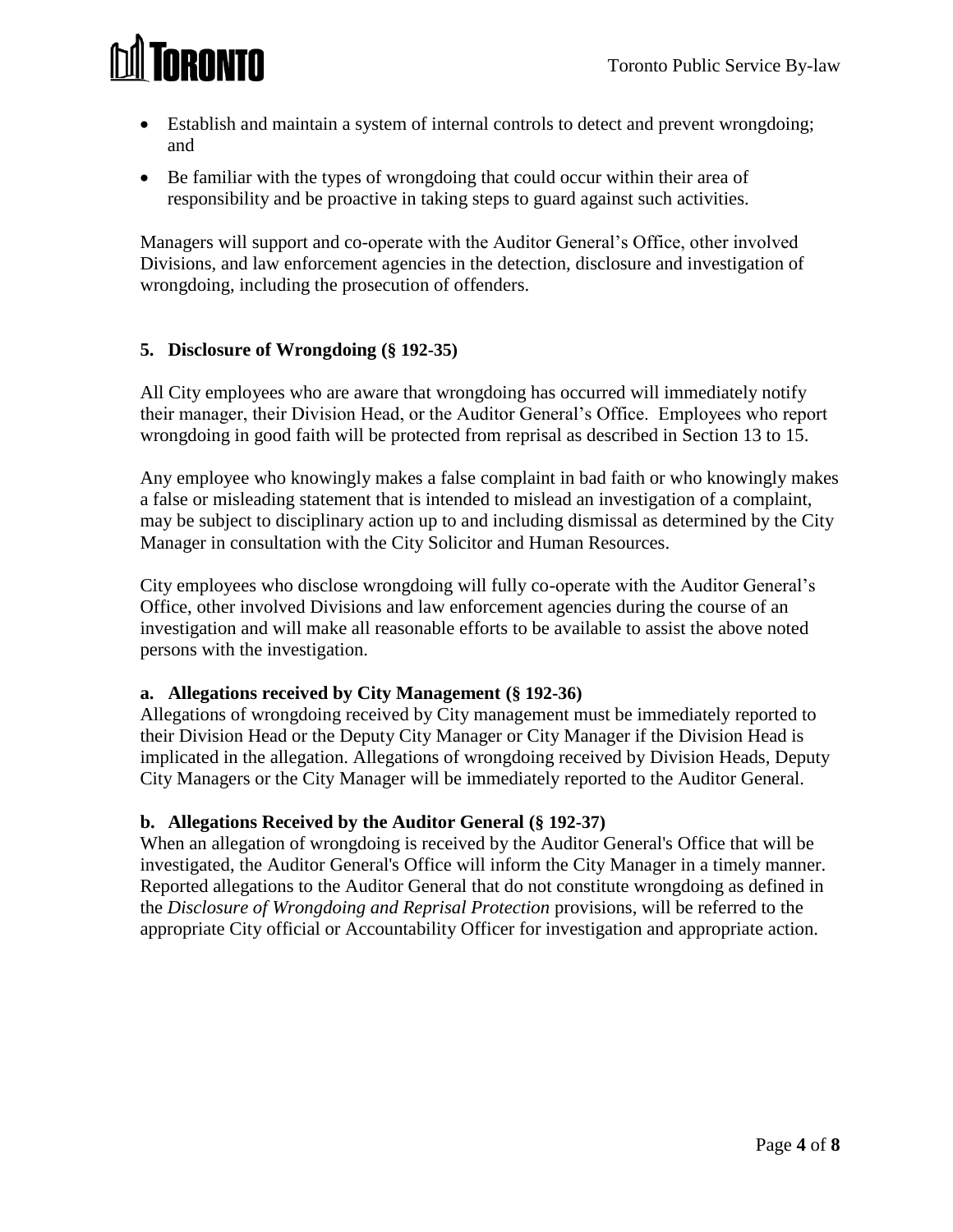

- Establish and maintain a system of internal controls to detect and prevent wrongdoing; and
- Be familiar with the types of wrongdoing that could occur within their area of responsibility and be proactive in taking steps to guard against such activities.

Managers will support and co-operate with the Auditor General's Office, other involved Divisions, and law enforcement agencies in the detection, disclosure and investigation of wrongdoing, including the prosecution of offenders.

## **5. Disclosure of Wrongdoing (§ 192-35)**

All City employees who are aware that wrongdoing has occurred will immediately notify their manager, their Division Head, or the Auditor General's Office. Employees who report wrongdoing in good faith will be protected from reprisal as described in Section 13 to 15.

Any employee who knowingly makes a false complaint in bad faith or who knowingly makes a false or misleading statement that is intended to mislead an investigation of a complaint, may be subject to disciplinary action up to and including dismissal as determined by the City Manager in consultation with the City Solicitor and Human Resources.

City employees who disclose wrongdoing will fully co-operate with the Auditor General's Office, other involved Divisions and law enforcement agencies during the course of an investigation and will make all reasonable efforts to be available to assist the above noted persons with the investigation.

## **a. Allegations received by City Management (§ 192-36)**

Allegations of wrongdoing received by City management must be immediately reported to their Division Head or the Deputy City Manager or City Manager if the Division Head is implicated in the allegation. Allegations of wrongdoing received by Division Heads, Deputy City Managers or the City Manager will be immediately reported to the Auditor General.

#### **b. Allegations Received by the Auditor General (§ 192-37)**

When an allegation of wrongdoing is received by the Auditor General's Office that will be investigated, the Auditor General's Office will inform the City Manager in a timely manner. Reported allegations to the Auditor General that do not constitute wrongdoing as defined in the *Disclosure of Wrongdoing and Reprisal Protection* provisions, will be referred to the appropriate City official or Accountability Officer for investigation and appropriate action.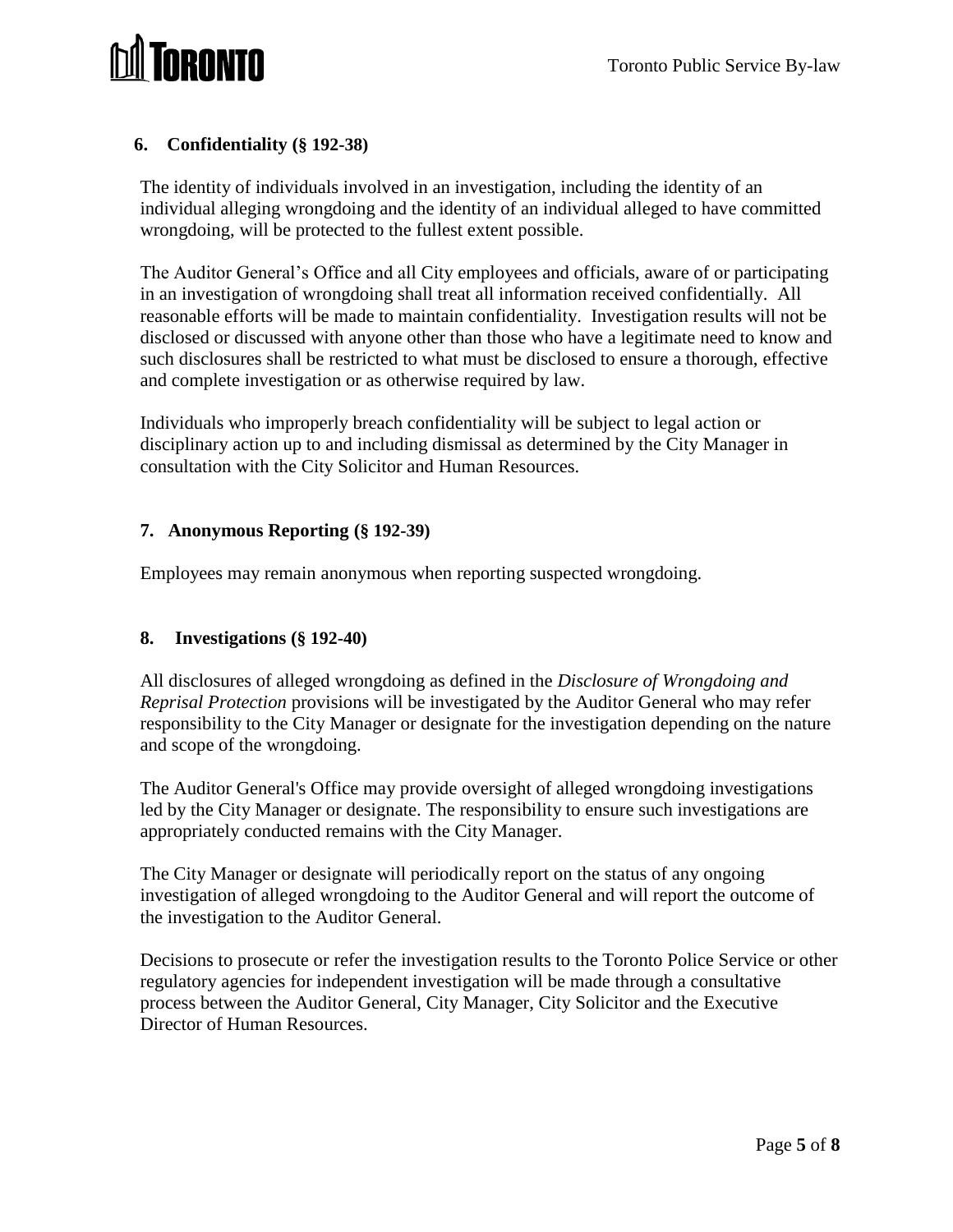

## **6. Confidentiality (§ 192-38)**

The identity of individuals involved in an investigation, including the identity of an individual alleging wrongdoing and the identity of an individual alleged to have committed wrongdoing, will be protected to the fullest extent possible.

The Auditor General's Office and all City employees and officials, aware of or participating in an investigation of wrongdoing shall treat all information received confidentially. All reasonable efforts will be made to maintain confidentiality. Investigation results will not be disclosed or discussed with anyone other than those who have a legitimate need to know and such disclosures shall be restricted to what must be disclosed to ensure a thorough, effective and complete investigation or as otherwise required by law.

Individuals who improperly breach confidentiality will be subject to legal action or disciplinary action up to and including dismissal as determined by the City Manager in consultation with the City Solicitor and Human Resources.

## **7. Anonymous Reporting (§ 192-39)**

Employees may remain anonymous when reporting suspected wrongdoing.

#### **8. Investigations (§ 192-40)**

All disclosures of alleged wrongdoing as defined in the *Disclosure of Wrongdoing and Reprisal Protection* provisions will be investigated by the Auditor General who may refer responsibility to the City Manager or designate for the investigation depending on the nature and scope of the wrongdoing.

The Auditor General's Office may provide oversight of alleged wrongdoing investigations led by the City Manager or designate. The responsibility to ensure such investigations are appropriately conducted remains with the City Manager.

The City Manager or designate will periodically report on the status of any ongoing investigation of alleged wrongdoing to the Auditor General and will report the outcome of the investigation to the Auditor General.

Decisions to prosecute or refer the investigation results to the Toronto Police Service or other regulatory agencies for independent investigation will be made through a consultative process between the Auditor General, City Manager, City Solicitor and the Executive Director of Human Resources.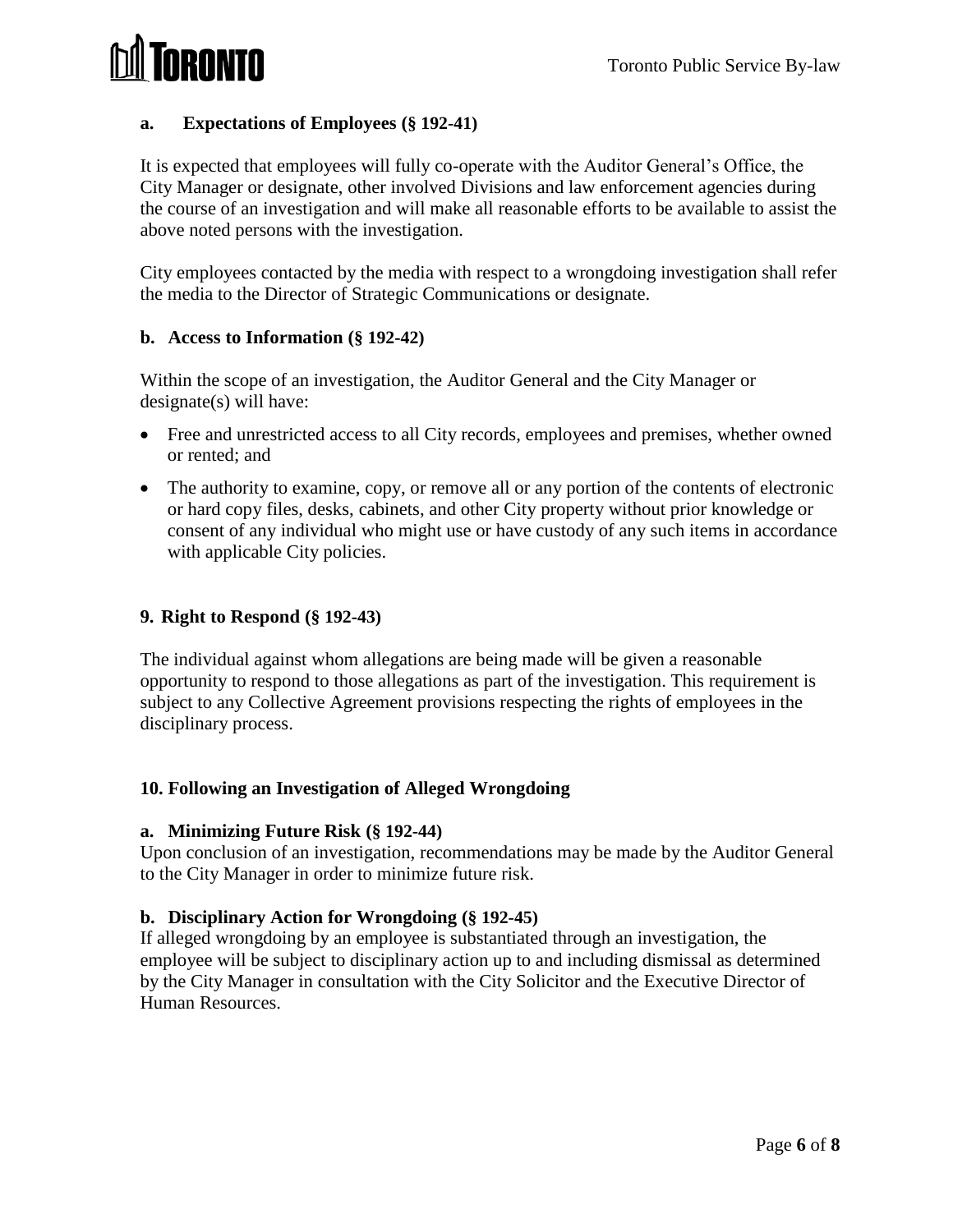# ORONTO

# **a. Expectations of Employees (§ 192-41)**

It is expected that employees will fully co-operate with the Auditor General's Office, the City Manager or designate, other involved Divisions and law enforcement agencies during the course of an investigation and will make all reasonable efforts to be available to assist the above noted persons with the investigation.

City employees contacted by the media with respect to a wrongdoing investigation shall refer the media to the Director of Strategic Communications or designate.

## **b. Access to Information (§ 192-42)**

Within the scope of an investigation, the Auditor General and the City Manager or designate(s) will have:

- Free and unrestricted access to all City records, employees and premises, whether owned or rented; and
- The authority to examine, copy, or remove all or any portion of the contents of electronic or hard copy files, desks, cabinets, and other City property without prior knowledge or consent of any individual who might use or have custody of any such items in accordance with applicable City policies.

# **9. Right to Respond (§ 192-43)**

The individual against whom allegations are being made will be given a reasonable opportunity to respond to those allegations as part of the investigation. This requirement is subject to any Collective Agreement provisions respecting the rights of employees in the disciplinary process.

# **10. Following an Investigation of Alleged Wrongdoing**

## **a. Minimizing Future Risk (§ 192-44)**

Upon conclusion of an investigation, recommendations may be made by the Auditor General to the City Manager in order to minimize future risk.

## **b. Disciplinary Action for Wrongdoing (§ 192-45)**

If alleged wrongdoing by an employee is substantiated through an investigation, the employee will be subject to disciplinary action up to and including dismissal as determined by the City Manager in consultation with the City Solicitor and the Executive Director of Human Resources.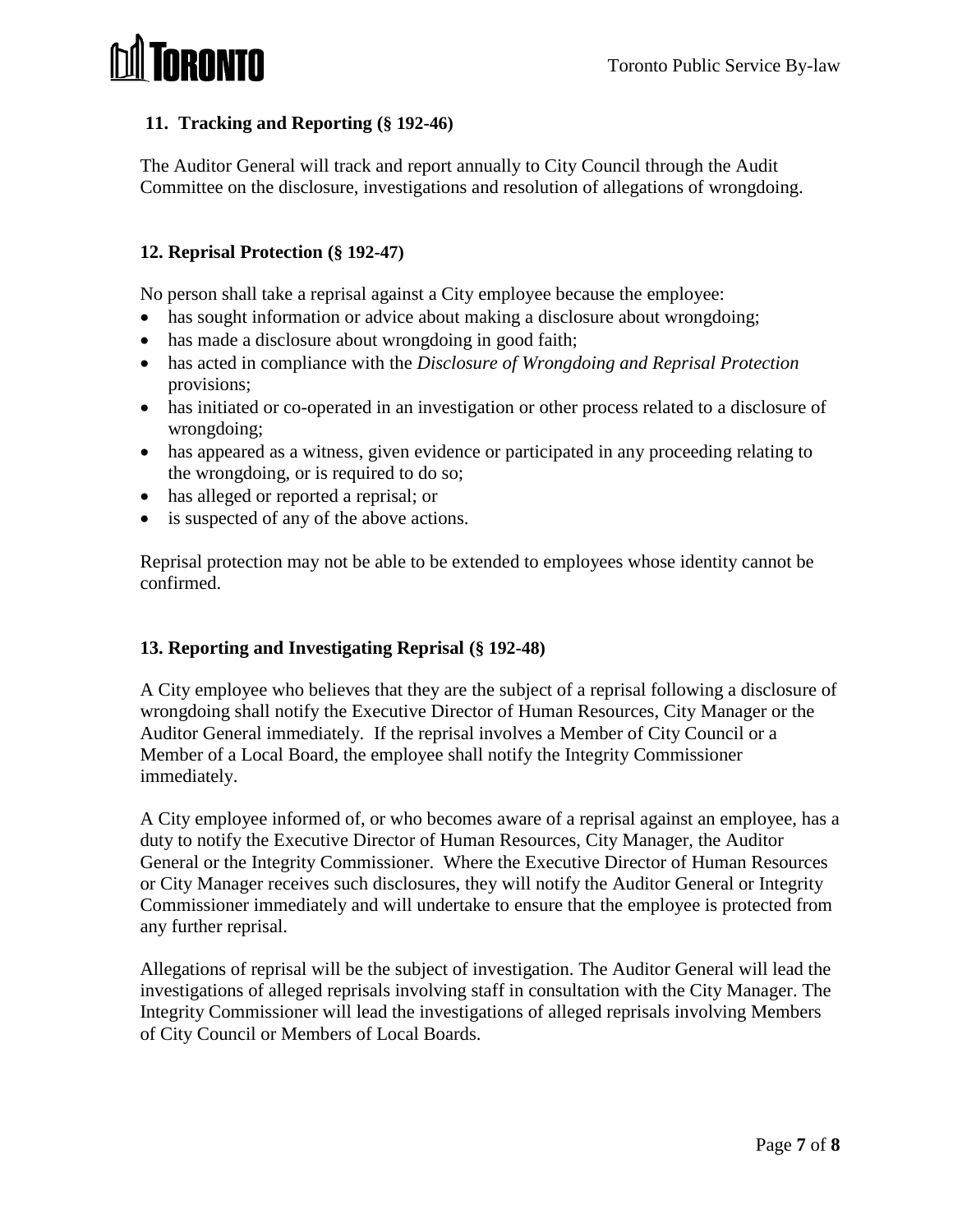

## **11. Tracking and Reporting (§ 192-46)**

The Auditor General will track and report annually to City Council through the Audit Committee on the disclosure, investigations and resolution of allegations of wrongdoing.

## **12. Reprisal Protection (§ 192-47)**

No person shall take a reprisal against a City employee because the employee:

- has sought information or advice about making a disclosure about wrongdoing;
- has made a disclosure about wrongdoing in good faith;
- has acted in compliance with the *Disclosure of Wrongdoing and Reprisal Protection* provisions;
- has initiated or co-operated in an investigation or other process related to a disclosure of wrongdoing;
- has appeared as a witness, given evidence or participated in any proceeding relating to the wrongdoing, or is required to do so;
- has alleged or reported a reprisal; or
- is suspected of any of the above actions.

Reprisal protection may not be able to be extended to employees whose identity cannot be confirmed.

## **13. Reporting and Investigating Reprisal (§ 192-48)**

A City employee who believes that they are the subject of a reprisal following a disclosure of wrongdoing shall notify the Executive Director of Human Resources, City Manager or the Auditor General immediately. If the reprisal involves a Member of City Council or a Member of a Local Board, the employee shall notify the Integrity Commissioner immediately.

A City employee informed of, or who becomes aware of a reprisal against an employee, has a duty to notify the Executive Director of Human Resources, City Manager, the Auditor General or the Integrity Commissioner. Where the Executive Director of Human Resources or City Manager receives such disclosures, they will notify the Auditor General or Integrity Commissioner immediately and will undertake to ensure that the employee is protected from any further reprisal.

Allegations of reprisal will be the subject of investigation. The Auditor General will lead the investigations of alleged reprisals involving staff in consultation with the City Manager. The Integrity Commissioner will lead the investigations of alleged reprisals involving Members of City Council or Members of Local Boards.